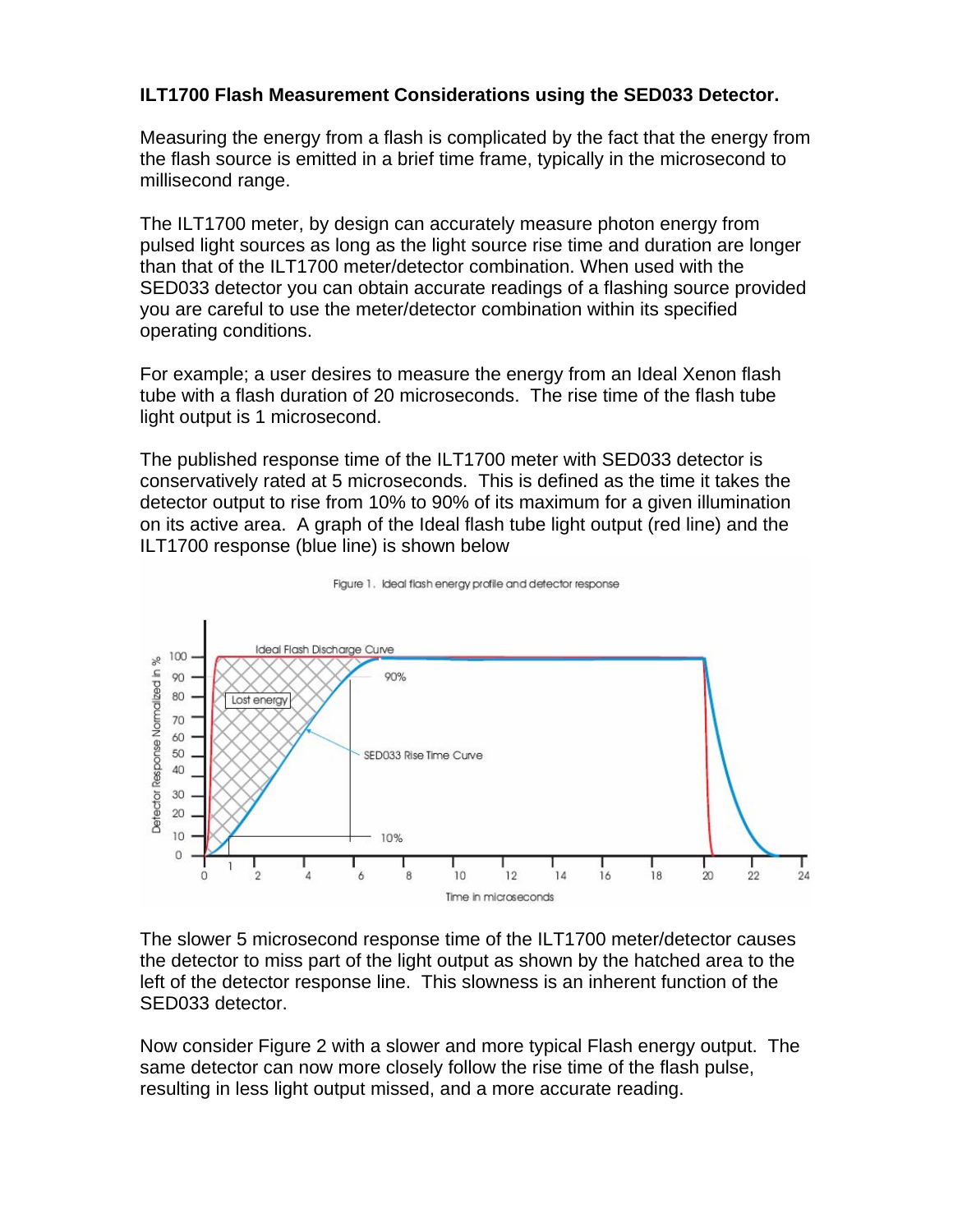## **ILT1700 Flash Measurement Considerations using the SED033 Detector.**

Measuring the energy from a flash is complicated by the fact that the energy from the flash source is emitted in a brief time frame, typically in the microsecond to millisecond range.

The ILT1700 meter, by design can accurately measure photon energy from pulsed light sources as long as the light source rise time and duration are longer than that of the ILT1700 meter/detector combination. When used with the SED033 detector you can obtain accurate readings of a flashing source provided you are careful to use the meter/detector combination within its specified operating conditions.

For example; a user desires to measure the energy from an Ideal Xenon flash tube with a flash duration of 20 microseconds. The rise time of the flash tube light output is 1 microsecond.

The published response time of the ILT1700 meter with SED033 detector is conservatively rated at 5 microseconds. This is defined as the time it takes the detector output to rise from 10% to 90% of its maximum for a given illumination on its active area. A graph of the Ideal flash tube light output (red line) and the ILT1700 response (blue line) is shown below





The slower 5 microsecond response time of the ILT1700 meter/detector causes the detector to miss part of the light output as shown by the hatched area to the left of the detector response line. This slowness is an inherent function of the SED033 detector.

Now consider Figure 2 with a slower and more typical Flash energy output. The same detector can now more closely follow the rise time of the flash pulse, resulting in less light output missed, and a more accurate reading.